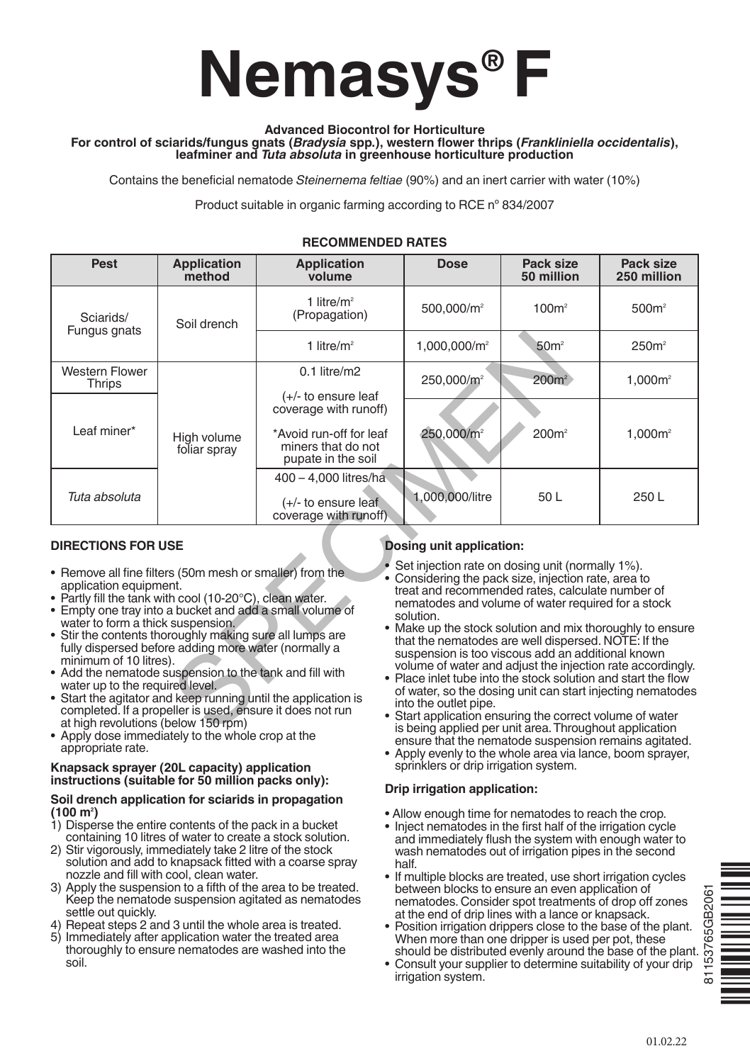# **Nemasys® F**

#### **Advanced Biocontrol for Horticulture**

#### **For control of sciarids/fungus gnats (***Bradysia* **spp.), western flower thrips (***Frankliniella occidentalis***), leafminer and** *Tuta absoluta* **in greenhouse horticulture production**

Contains the beneficial nematode *Steinernema feltiae* (90%) and an inert carrier with water (10%)

Product suitable in organic farming according to RCE nº 834/2007

| Pest                                                                                                                                                                                                                                                                                                                                                                                                                                                                                                    | <b>Application</b><br>method                                                                                      | <b>Application</b><br>volume                                                                 | <b>Dose</b>                                                    | Pack size<br>50 million                                                                                                                                                                                                                                                                                                                                                                                                                                                                                                                                                                                                                          | Pack size<br>250 million                                   |
|---------------------------------------------------------------------------------------------------------------------------------------------------------------------------------------------------------------------------------------------------------------------------------------------------------------------------------------------------------------------------------------------------------------------------------------------------------------------------------------------------------|-------------------------------------------------------------------------------------------------------------------|----------------------------------------------------------------------------------------------|----------------------------------------------------------------|--------------------------------------------------------------------------------------------------------------------------------------------------------------------------------------------------------------------------------------------------------------------------------------------------------------------------------------------------------------------------------------------------------------------------------------------------------------------------------------------------------------------------------------------------------------------------------------------------------------------------------------------------|------------------------------------------------------------|
| Sciarids/<br>Fungus gnats                                                                                                                                                                                                                                                                                                                                                                                                                                                                               | Soil drench                                                                                                       | 1 litre/ $m^2$<br>(Propagation)                                                              | 500,000/m <sup>2</sup>                                         | 100m <sup>2</sup>                                                                                                                                                                                                                                                                                                                                                                                                                                                                                                                                                                                                                                | 500m <sup>2</sup>                                          |
|                                                                                                                                                                                                                                                                                                                                                                                                                                                                                                         |                                                                                                                   | 1 litre/ $m2$                                                                                | $1,000,000/m^2$                                                | 50 <sup>2</sup>                                                                                                                                                                                                                                                                                                                                                                                                                                                                                                                                                                                                                                  | 250 <sup>2</sup>                                           |
| <b>Western Flower</b><br>Thrips                                                                                                                                                                                                                                                                                                                                                                                                                                                                         | High volume<br>foliar spray                                                                                       | $0.1$ litre/m2<br>$(+/-)$ to ensure leaf                                                     | 250,000/m <sup>2</sup>                                         | $200m^2$                                                                                                                                                                                                                                                                                                                                                                                                                                                                                                                                                                                                                                         | $1,000m^2$                                                 |
| Leaf miner*                                                                                                                                                                                                                                                                                                                                                                                                                                                                                             |                                                                                                                   | coverage with runoff)<br>*Avoid run-off for leaf<br>miners that do not<br>pupate in the soil | 250,000/m <sup>2</sup>                                         | 200m <sup>2</sup>                                                                                                                                                                                                                                                                                                                                                                                                                                                                                                                                                                                                                                | 1,000m <sup>2</sup>                                        |
| Tuta absoluta                                                                                                                                                                                                                                                                                                                                                                                                                                                                                           |                                                                                                                   | 400 - 4,000 litres/ha<br>$(+/-)$ to ensure leaf<br>coverage with runoff)                     | 1,000,000/litre                                                | 50 L                                                                                                                                                                                                                                                                                                                                                                                                                                                                                                                                                                                                                                             | 250L                                                       |
| <b>DIRECTIONS FOR USE</b><br>• Remove all fine filters (50m mesh or smaller) from the<br>application equipment.<br>• Partly fill the tank with cool (10-20°C), clean water.<br>• Empty one tray into a bucket and add a small volume of<br>water to form a thick suspension.<br>• Stir the contents thoroughly making sure all lumps are<br>minimum of 10 litres).<br>• Add the nematode suspension to the tank and fill with<br>water up to the required level.<br>at high revolutions (below 150 rpm) | fully dispersed before adding more water (normally a<br>completed. If a propeller is used, ensure it does not run | • Start the agitator and keep running until the application is                               | Dosing unit application:<br>solution.<br>into the outlet pipe. | Set injection rate on dosing unit (normally 1%).<br>• Considering the pack size, injection rate, area to<br>treat and recommended rates, calculate number of<br>nematodes and volume of water required for a stock<br>• Make up the stock solution and mix thoroughly to ensure<br>that the nematodes are well dispersed. NOTE: If the<br>suspension is too viscous add an additional known<br>volume of water and adjust the injection rate accordingly.<br>• Place inlet tube into the stock solution and start the flow<br>• Start application ensuring the correct volume of water<br>is being applied per unit area. Throughout application | of water, so the dosing unit can start injecting nematodes |

## **RECOMMENDED RATES**

# **DIRECTIONS FOR USE**

- Remove all fine filters (50m mesh or smaller) from the application equipment.<br>• Partly fill the tank with cool (10-20°C), clean water.
- Empty one tray into a bucket and add a small volume of
- water to form a thick suspension.
- Stir the contents thoroughly making sure all lumps are fully dispersed before adding more water (normally a minimum of 10 litres).<br>• Add the nematode suspension to the tank and fill with
- water up to the required level.
- Start the agitator and keep running until the application is completed. If <sup>a</sup> propeller is used, ensure it does not run at high revolutions (below <sup>150</sup> rpm)
- Apply dose immediately to the whole crop at the appropriate rate.

#### **Knapsack sprayer (20L capacity) application instructions (suitable for 50 million packs only):**

#### **Soil drench application for sciarids in propagation (100 m2 )**

- 1) Disperse the entire contents of the pack in a bucket containing 10 litres of water to create a stock solution.
- 2) Stir vigorously, immediately take 2 litre of the stock solution and add to knapsack fitted with a coarse spray<br>nozzle and fill with cool, clean water.
- 3) Apply the suspension to a fifth of the area to be treated. Keep the nematode suspension agitated as nematodes settle out quickly.
- 4) Repeat steps 2 and 3 until the whole area is treated.<br>5) Immediately after application water the treated area
- thoroughly to ensure nematodes are washed into the soil.

# **Dosing unit application:**

- Set injection rate on dosing unit (normally 1%).
- Considering the pack size, injection rate, area to treat and recommended rates, calculate number of nematodes and volume of water required for a stock
- solution.<br>• Make up the stock solution and mix thoroughly to ensure that the nematodes are well dispersed. NOTE: If the suspension is too viscous add an additional known<br>volume of water and adjust the injection rate accordingly.
- Place inlet tube into the stock solution and start the flow of water, so the dosing unit can start injecting nematodes into the outlet pipe.
- Start application ensuring the correct volume of water is being applied per unit area.Throughout application ensure that the nematode suspension remains agitated.
- Apply evenly to the whole area via lance, boom sprayer, sprinklers or drip irrigation system.

# **Drip irrigation application:**

- Allow enough time for nematodes to reach the crop.
- • Inject nematodes in the first half of the irrigation cycle and immediately flush the system with enough water to wash nematodes out of irrigation pipes in the second half.
- If multiple blocks are treated, use short irrigation cycles between blocks to ensure an even application of nematodes. Consider spot treatments of drop off zones at the end of drip lines with a lance or knapsack.
- • Position irrigation drippers close to the base of the plant. When more than one dripper is used per pot, these should be distributed evenly around the base of the plant.
- $115376$ • Consult your supplier to determine suitability of your drip irrigation system.



65GB206

ፚ